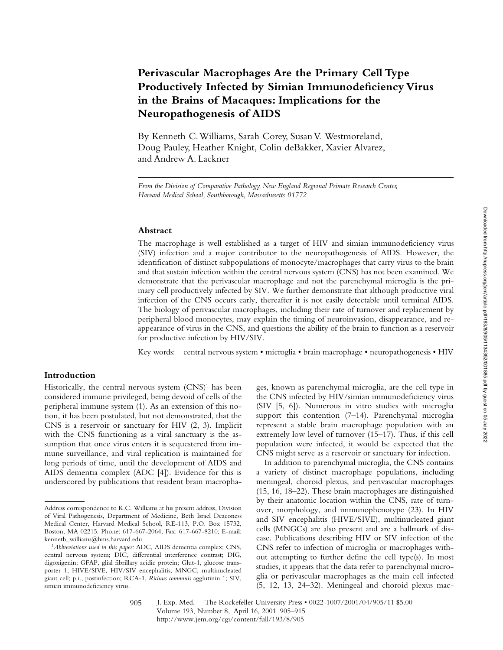# **Perivascular Macrophages Are the Primary Cell Type Productively Infected by Simian Immunodeficiency Virus in the Brains of Macaques: Implications for the Neuropathogenesis of AIDS**

By Kenneth C. Williams, Sarah Corey, Susan V. Westmoreland, Doug Pauley, Heather Knight, Colin deBakker, Xavier Alvarez, and Andrew A. Lackner

### **Abstract**

The macrophage is well established as a target of HIV and simian immunodeficiency virus (SIV) infection and a major contributor to the neuropathogenesis of AIDS. However, the identification of distinct subpopulations of monocyte/macrophages that carry virus to the brain and that sustain infection within the central nervous system (CNS) has not been examined. We demonstrate that the perivascular macrophage and not the parenchymal microglia is the primary cell productively infected by SIV. We further demonstrate that although productive viral infection of the CNS occurs early, thereafter it is not easily detectable until terminal AIDS. The biology of perivascular macrophages, including their rate of turnover and replacement by peripheral blood monocytes, may explain the timing of neuroinvasion, disappearance, and reappearance of virus in the CNS, and questions the ability of the brain to function as a reservoir for productive infection by HIV/SIV.

Key words: central nervous system • microglia • brain macrophage • neuropathogenesis • HIV

## **Introduction**

Historically, the central nervous system  $(CNS)^1$  has been considered immune privileged, being devoid of cells of the peripheral immune system (1). As an extension of this notion, it has been postulated, but not demonstrated, that the CNS is a reservoir or sanctuary for HIV (2, 3). Implicit with the CNS functioning as a viral sanctuary is the assumption that once virus enters it is sequestered from immune surveillance, and viral replication is maintained for long periods of time, until the development of AIDS and AIDS dementia complex (ADC [4]). Evidence for this is underscored by publications that resident brain macropha-

ges, known as parenchymal microglia, are the cell type in the CNS infected by HIV/simian immunodeficiency virus (SIV [5, 6]). Numerous in vitro studies with microglia support this contention (7–14). Parenchymal microglia represent a stable brain macrophage population with an extremely low level of turnover (15–17). Thus, if this cell population were infected, it would be expected that the CNS might serve as a reservoir or sanctuary for infection.

In addition to parenchymal microglia, the CNS contains a variety of distinct macrophage populations, including meningeal, choroid plexus, and perivascular macrophages (15, 16, 18–22). These brain macrophages are distinguished by their anatomic location within the CNS, rate of turnover, morphology, and immunophenotype (23). In HIV and SIV encephalitis (HIVE/SIVE), multinucleated giant cells (MNGCs) are also present and are a hallmark of disease. Publications describing HIV or SIV infection of the CNS refer to infection of microglia or macrophages without attempting to further define the cell type(s). In most studies, it appears that the data refer to parenchymal microglia or perivascular macrophages as the main cell infected (5, 12, 13, 24–32). Meningeal and choroid plexus mac-

J. Exp. Med. © The Rockefeller University Press • 0022-1007/2001/04/905/11 \$5.00 Volume 193, Number 8, April 16, 2001 905–915 http://www.jem.org/cgi/content/full/193/8/905 905

*From the Division of Comparative Pathology, New England Regional Primate Research Center, Harvard Medical School, Southborough, Massachusetts 01772*

Address correspondence to K.C. Williams at his present address, Division of Viral Pathogenesis, Department of Medicine, Beth Israel Deaconess Medical Center, Harvard Medical School, RE-113, P.O. Box 15732, Boston, MA 02215. Phone: 617-667-2064; Fax: 617-667-8210; E-mail: kenneth\_williams@hms.harvard.edu

<sup>&</sup>lt;sup>1</sup>Abbreviations used in this paper: ADC, AIDS dementia complex; CNS, central nervous system; DIC, differential interference contrast; DIG, digoxigenin; GFAP, glial fibrillary acidic protein; Glut-1, glucose transporter 1; HIVE/SIVE, HIV/SIV encephalitis; MNGC; multinucleated giant cell; p.i., postinfection; RCA-1, *Ricinus comminis* agglutinin 1; SIV, simian immunodeficiency virus.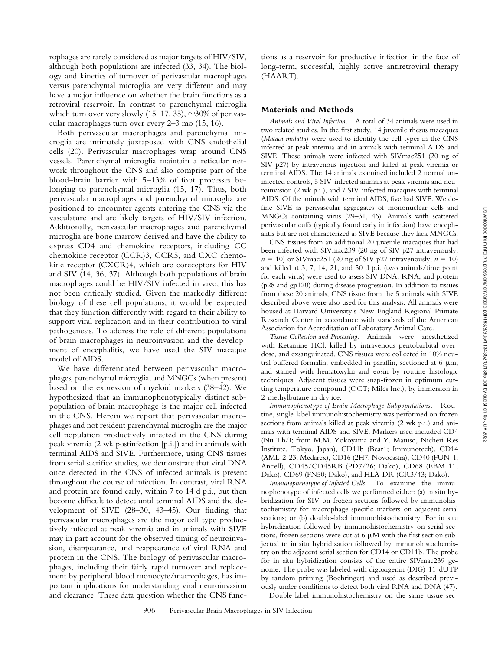rophages are rarely considered as major targets of HIV/SIV, although both populations are infected (33, 34). The biology and kinetics of turnover of perivascular macrophages versus parenchymal microglia are very different and may have a major influence on whether the brain functions as a retroviral reservoir. In contrast to parenchymal microglia which turn over very slowly (15–17, 35),  $\sim$ 30% of perivascular macrophages turn over every 2–3 mo (15, 16).

Both perivascular macrophages and parenchymal microglia are intimately juxtaposed with CNS endothelial cells (20). Perivascular macrophages wrap around CNS vessels. Parenchymal microglia maintain a reticular network throughout the CNS and also comprise part of the blood–brain barrier with 5–13% of foot processes belonging to parenchymal microglia (15, 17). Thus, both perivascular macrophages and parenchymal microglia are positioned to encounter agents entering the CNS via the vasculature and are likely targets of HIV/SIV infection. Additionally, perivascular macrophages and parenchymal microglia are bone marrow derived and have the ability to express CD4 and chemokine receptors, including CC chemokine receptor (CCR)3, CCR5, and CXC chemokine receptor (CXCR)4, which are coreceptors for HIV and SIV (14, 36, 37). Although both populations of brain macrophages could be HIV/SIV infected in vivo, this has not been critically studied. Given the markedly different biology of these cell populations, it would be expected that they function differently with regard to their ability to support viral replication and in their contribution to viral pathogenesis. To address the role of different populations of brain macrophages in neuroinvasion and the development of encephalitis, we have used the SIV macaque model of AIDS.

We have differentiated between perivascular macrophages, parenchymal microglia, and MNGCs (when present) based on the expression of myeloid markers (38–42). We hypothesized that an immunophenotypically distinct subpopulation of brain macrophage is the major cell infected in the CNS. Herein we report that perivascular macrophages and not resident parenchymal microglia are the major cell population productively infected in the CNS during peak viremia (2 wk postinfection [p.i.]) and in animals with terminal AIDS and SIVE. Furthermore, using CNS tissues from serial sacrifice studies, we demonstrate that viral DNA once detected in the CNS of infected animals is present throughout the course of infection. In contrast, viral RNA and protein are found early, within 7 to 14 d p.i., but then become difficult to detect until terminal AIDS and the development of SIVE (28–30, 43–45). Our finding that perivascular macrophages are the major cell type productively infected at peak viremia and in animals with SIVE may in part account for the observed timing of neuroinvasion, disappearance, and reappearance of viral RNA and protein in the CNS. The biology of perivascular macrophages, including their fairly rapid turnover and replacement by peripheral blood monocyte/macrophages, has important implications for understanding viral neuroinvasion and clearance. These data question whether the CNS func-

tions as a reservoir for productive infection in the face of long-term, successful, highly active antiretroviral therapy (HAART).

#### **Materials and Methods**

*Animals and Viral Infection.* A total of 34 animals were used in two related studies. In the first study, 14 juvenile rhesus macaques (*Macaca mulatta*) were used to identify the cell types in the CNS infected at peak viremia and in animals with terminal AIDS and SIVE. These animals were infected with SIVmac251 (20 ng of SIV p27) by intravenous injection and killed at peak viremia or terminal AIDS. The 14 animals examined included 2 normal uninfected controls, 5 SIV-infected animals at peak viremia and neuroinvasion (2 wk p.i.), and 7 SIV-infected macaques with terminal AIDS. Of the animals with terminal AIDS, five had SIVE. We define SIVE as perivascular aggregates of mononuclear cells and MNGCs containing virus (29–31, 46). Animals with scattered perivascular cuffs (typically found early in infection) have encephalitis but are not characterized as SIVE because they lack MNGCs.

CNS tissues from an additional 20 juvenile macaques that had been infected with SIVmac239 (20 ng of SIV p27 intravenously;  $n = 10$ ) or SIVmac251 (20 ng of SIV p27 intravenously;  $n = 10$ ) and killed at 3, 7, 14, 21, and 50 d p.i. (two animals/time point for each virus) were used to assess SIV DNA, RNA, and protein (p28 and gp120) during disease progression. In addition to tissues from these 20 animals, CNS tissue from the 5 animals with SIVE described above were also used for this analysis. All animals were housed at Harvard University's New England Regional Primate Research Center in accordance with standards of the American Association for Accreditation of Laboratory Animal Care.

*Tissue Collection and Processing.* Animals were anesthetized with Ketamine HCl, killed by intravenous pentobarbital overdose, and exsanguinated. CNS tissues were collected in 10% neutral buffered formalin, embedded in paraffin, sectioned at 6  $\mu$ m, and stained with hematoxylin and eosin by routine histologic techniques. Adjacent tissues were snap-frozen in optimum cutting temperature compound (OCT; Miles Inc.), by immersion in 2-methylbutane in dry ice.

*Immunophenotype of Brain Macrophage Subpopulations.* Routine, single-label immunohistochemistry was performed on frozen sections from animals killed at peak viremia (2 wk p.i.) and animals with terminal AIDS and SIVE. Markers used included CD4 (Nu Th/I; from M.M. Yokoyama and Y. Matuso, Nicheri Res Institute, Tokyo, Japan), CD11b (Bear1; Immunotech), CD14 (AML-2-23; Medarex), CD16 (2H7; Novocastra), CD40 (FUN-1; Ancell), CD45/CD45RB (PD7/26; Dako), CD68 (EBM-11; Dako), CD69 (FN50; Dako), and HLA-DR (CR3/43; Dako).

*Immunophenotype of Infected Cells.* To examine the immunophenotype of infected cells we performed either: (a) in situ hybridization for SIV on frozen sections followed by immunohistochemistry for macrophage-specific markers on adjacent serial sections; or (b) double-label immunohistochemistry. For in situ hybridization followed by immunohistochemistry on serial sections, frozen sections were cut at  $6 \mu M$  with the first section subjected to in situ hybridization followed by immunohistochemistry on the adjacent serial section for CD14 or CD11b. The probe for in situ hybridization consists of the entire SIVmac239 genome. The probe was labeled with digoxigenin (DIG)-11-dUTP by random priming (Boehringer) and used as described previously under conditions to detect both viral RNA and DNA (47).

Double-label immunohistochemistry on the same tissue sec-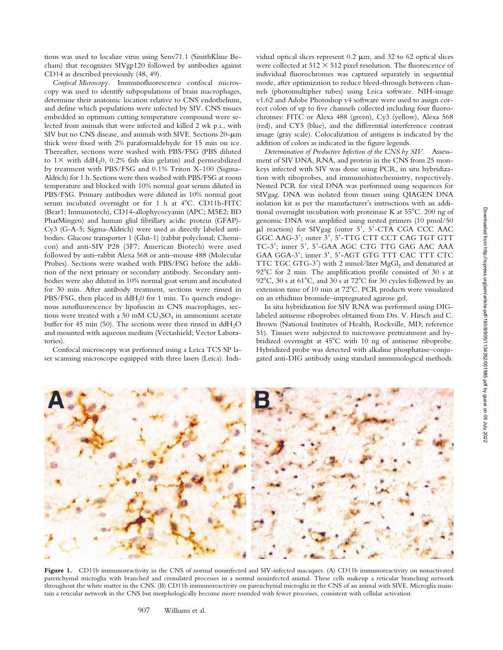tions was used to localize virus using Senv71.1 (SmithKline Becham) that recognizes SIVgp120 followed by antibodies against CD14 as described previously (48, 49).

*Confocal Microscopy.* Immunofluorescence confocal microscopy was used to identify subpopulations of brain macrophages, determine their anatomic location relative to CNS endothelium, and define which populations were infected by SIV. CNS tissues embedded in optimum cutting temperature compound were selected from animals that were infected and killed 2 wk p.i., with SIV but no CNS disease, and animals with SIVE. Sections  $20 - \mu m$ thick were fixed with 2% paraformaldehyde for 15 min on ice. Thereafter, sections were washed with PBS/FSG (PBS diluted to  $1\times$  with ddH<sub>2</sub>0, 0.2% fish skin gelatin) and permeabilized by treatment with PBS/FSG and 0.1% Triton X-100 (Sigma-Aldrich) for 1 h. Sections were then washed with PBS/FSG at room temperature and blocked with 10% normal goat serum diluted in PBS/FSG. Primary antibodies were diluted in 10% normal goat serum incubated overnight or for 1 h at  $4^{\circ}$ C. CD11b-FITC (Bear1; Immunotech), CD14-allophycocyanin (APC; M5E2; BD PharMingen) and human glial fibrillary acidic protein (GFAP)- Cy3 (G-A-5; Sigma-Aldrich) were used as directly labeled antibodies. Glucose transporter 1 (Glut-1) (rabbit polyclonal; Chemicon) and anti-SIV P28 (3F7; American Biotech) were used followed by anti–rabbit Alexa 568 or anti–mouse 488 (Molecular Probes). Sections were washed with PBS/FSG before the addition of the next primary or secondary antibody. Secondary antibodies were also diluted in 10% normal goat serum and incubated for 30 min. After antibody treatment, sections were rinsed in PBS/FSG, then placed in  $ddH<sub>2</sub>0$  for 1 min. To quench endogenous autofluorescence by lipofuscin in CNS macrophages, sections were treated with a 50 mM  $CU<sub>3</sub>SO<sub>4</sub>$  in ammonium acetate buffer for 45 min (50). The sections were then rinsed in  $ddH_2O$ and mounted with aqueous medium (Vectashield; Vector Laboratories).

Confocal microscopy was performed using a Leica TCS SP laser scanning microscope equipped with three lasers (Leica). Indi-

vidual optical slices represent  $0.2 \mu m$ , and  $32$  to  $62$  optical slices were collected at  $512 \times 512$  pixel resolution. The fluorescence of individual fluorochromes was captured separately in sequential mode, after optimization to reduce bleed-through between channels (photomultiplier tubes) using Leica software. NIH-image v1.62 and Adobe Photoshop v4 software were used to assign correct colors of up to five channels collected including four fluorochromes: FITC or Alexa 488 (green), Cy3 (yellow), Alexa 568 (red), and CY5 (blue), and the differential interference contrast image (gray scale). Colocalization of antigens is indicated by the addition of colors as indicated in the figure legends.

*Determination of Productive Infection of the CNS by SIV.* Assessment of SIV DNA, RNA, and protein in the CNS from 25 monkeys infected with SIV was done using PCR, in situ hybridization with riboprobes, and immunohistochemistry, respectively. Nested PCR for viral DNA was performed using sequences for SIVgag. DNA was isolated from tissues using QIAGEN DNA isolation kit as per the manufacturer's instructions with an additional overnight incubation with proteinase K at  $55^{\circ}$ C. 200 ng of genomic DNA was amplified using nested primers (10 pmol/50  $\mu$ l reaction) for SIVgag (outer 5', 5'-CTA CGA CCC AAC GGC AAG-3'; outer 3', 5'-TTG CTT CCT CAG TGT GTT TC-3'; inner 5', 5'-GAA AGC CTG TTG GAG AAC AAA GAA GGA-3'; inner 3', 5'-AGT GTG TTT CAC TTT CTC TTC TGC GTG-3') with 2 mmol/liter MgGl<sub>2</sub> and denatured at 92°C for 2 min. The amplification profile consisted of 30 s at 92°C, 30 s at  $61^{\circ}$ C, and 30 s at  $72^{\circ}$ C for 30 cycles followed by an extension time of 10 min at 72°C. PCR products were visualized on an ethidium bromide–impregnated agarose gel.

In situ hybridization for SIV RNA was performed using DIGlabeled antisense riboprobes obtained from Drs. V. Hirsch and C. Brown (National Institutes of Health, Rockville, MD; reference 51). Tissues were subjected to microwave pretreatment and hybridized overnight at  $45^{\circ}$ C with 10 ng of antisense riboprobe. Hybridized probe was detected with alkaline phosphatase–conjugated anti-DIG antibody using standard immunological methods.

Figure 1. CD11b immunoreactivity in the CNS of normal noninfected and SIV-infected macaques. (A) CD11b immunoreactivity on nonactivated parenchymal microglia with branched and crenulated processes in a normal noninfected animal. These cells makeup a reticular branching network throughout the white matter in the CNS. (B) CD11b immunoreactivity on parenchymal microglia in the CNS of an animal with SIVE. Microglia main-

tain a reticular network in the CNS but morphologically become more rounded with fewer processes, consistent with cellular activation.

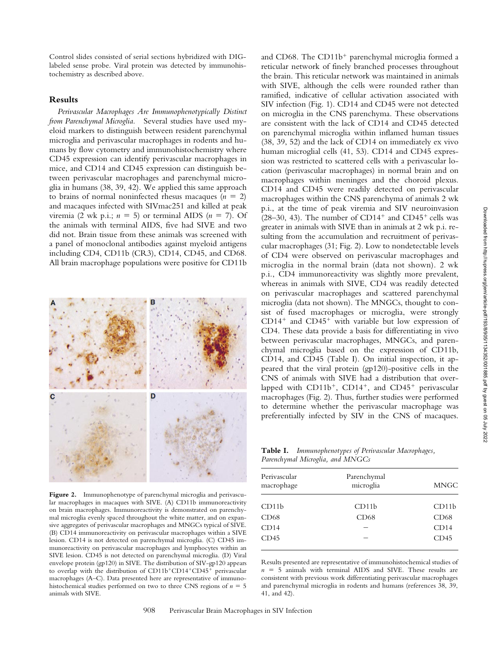Control slides consisted of serial sections hybridized with DIGlabeled sense probe. Viral protein was detected by immunohistochemistry as described above.

## **Results**

*Perivascular Macrophages Are Immunophenotypically Distinct from Parenchymal Microglia.* Several studies have used myeloid markers to distinguish between resident parenchymal microglia and perivascular macrophages in rodents and humans by flow cytometry and immunohistochemistry where CD45 expression can identify perivascular macrophages in mice, and CD14 and CD45 expression can distinguish between perivascular macrophages and parenchymal microglia in humans (38, 39, 42). We applied this same approach to brains of normal noninfected rhesus macaques  $(n = 2)$ and macaques infected with SIVmac251 and killed at peak viremia (2 wk p.i.;  $n = 5$ ) or terminal AIDS ( $n = 7$ ). Of the animals with terminal AIDS, five had SIVE and two did not. Brain tissue from these animals was screened with a panel of monoclonal antibodies against myeloid antigens including CD4, CD11b (CR3), CD14, CD45, and CD68. All brain macrophage populations were positive for CD11b



**Figure 2.** Immunophenotype of parenchymal microglia and perivascular macrophages in macaques with SIVE. (A) CD11b immunoreactivity on brain macrophages. Immunoreactivity is demonstrated on parenchymal microglia evenly spaced throughout the white matter, and on expansive aggregates of perivascular macrophages and MNGCs typical of SIVE. (B) CD14 immunoreactivity on perivascular macrophages within a SIVE lesion. CD14 is not detected on parenchymal microglia. (C) CD45 immunoreactivity on perivascular macrophages and lymphocytes within an SIVE lesion. CD45 is not detected on parenchymal microglia. (D) Viral envelope protein (gp120) in SIVE. The distribution of SIV-gp120 appears to overlap with the distribution of CD11b+CD14+CD45+ perivascular macrophages (A–C). Data presented here are representative of immunohistochemical studies performed on two to three CNS regions of  $n = 5$ animals with SIVE.

and CD68. The CD11b<sup>+</sup> parenchymal microglia formed a reticular network of finely branched processes throughout the brain. This reticular network was maintained in animals with SIVE, although the cells were rounded rather than ramified, indicative of cellular activation associated with SIV infection (Fig. 1). CD14 and CD45 were not detected on microglia in the CNS parenchyma. These observations are consistent with the lack of CD14 and CD45 detected on parenchymal microglia within inflamed human tissues (38, 39, 52) and the lack of CD14 on immediately ex vivo human microglial cells (41, 53). CD14 and CD45 expression was restricted to scattered cells with a perivascular location (perivascular macrophages) in normal brain and on macrophages within meninges and the choroid plexus. CD14 and CD45 were readily detected on perivascular macrophages within the CNS parenchyma of animals 2 wk p.i., at the time of peak viremia and SIV neuroinvasion  $(28-30, 43)$ . The number of CD14<sup>+</sup> and CD45<sup>+</sup> cells was greater in animals with SIVE than in animals at 2 wk p.i. resulting from the accumulation and recruitment of perivascular macrophages (31; Fig. 2). Low to nondetectable levels of CD4 were observed on perivascular macrophages and microglia in the normal brain (data not shown). 2 wk p.i., CD4 immunoreactivity was slightly more prevalent, whereas in animals with SIVE, CD4 was readily detected on perivascular macrophages and scattered parenchymal microglia (data not shown). The MNGCs, thought to consist of fused macrophages or microglia, were strongly  $CD14<sup>+</sup>$  and  $CD45<sup>+</sup>$  with variable but low expression of CD4. These data provide a basis for differentiating in vivo between perivascular macrophages, MNGCs, and parenchymal microglia based on the expression of CD11b, CD14, and CD45 (Table I). On initial inspection, it appeared that the viral protein (gp120)-positive cells in the CNS of animals with SIVE had a distribution that overlapped with  $CD11b^{+}$ ,  $CD14^{+}$ , and  $CD45^{+}$  perivascular macrophages (Fig. 2). Thus, further studies were performed to determine whether the perivascular macrophage was preferentially infected by SIV in the CNS of macaques.

**Table I.** *Immunophenotypes of Perivascular Macrophages, Parenchymal Microglia, and MNGCs*

| Parenchymal<br>microglia | <b>MNGC</b> |  |
|--------------------------|-------------|--|
| CD11b                    | CD11b       |  |
| CD68                     | CD68        |  |
|                          | CD14        |  |
|                          | CD45        |  |
|                          |             |  |

Results presented are representative of immunohistochemical studies of  $n = 5$  animals with terminal AIDS and SIVE. These results are consistent with previous work differentiating perivascular macrophages and parenchymal microglia in rodents and humans (references 38, 39, 41, and 42).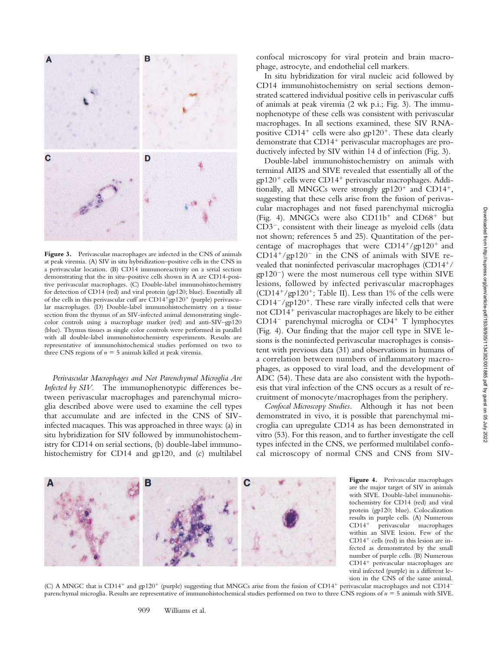

Figure 3. Perivascular macrophages are infected in the CNS of animals at peak viremia. (A) SIV in situ hybridization–positive cells in the CNS in a perivascular location. (B) CD14 immunoreactivity on a serial section demonstrating that the in situ–positive cells shown in A are CD14-positive perivascular macrophages. (C) Double-label immunohistochemistry for detection of CD14 (red) and viral protein (gp120; blue). Essentially all of the cells in this perivascular cuff are  $CD14+gp120+$  (purple) perivascular macrophages. (D) Double-label immunohistochemistry on a tissue section from the thymus of an SIV-infected animal demonstrating singlecolor controls using a macrophage marker (red) and anti-SIV–gp120 (blue). Thymus tissues as single color controls were performed in parallel with all double-label immunohistochemistry experiments. Results are representative of immunohistochemical studies performed on two to three CNS regions of  $n = 5$  animals killed at peak viremia.

*Perivascular Macrophages and Not Parenchymal Microglia Are Infected by SIV.* The immunophenotypic differences between perivascular macrophages and parenchymal microglia described above were used to examine the cell types that accumulate and are infected in the CNS of SIVinfected macaques. This was approached in three ways: (a) in situ hybridization for SIV followed by immunohistochemistry for CD14 on serial sections, (b) double-label immunohistochemistry for CD14 and gp120, and (c) multilabel confocal microscopy for viral protein and brain macrophage, astrocyte, and endothelial cell markers.

In situ hybridization for viral nucleic acid followed by CD14 immunohistochemistry on serial sections demonstrated scattered individual positive cells in perivascular cuffs of animals at peak viremia (2 wk p.i.; Fig. 3). The immunophenotype of these cells was consistent with perivascular macrophages. In all sections examined, these SIV RNApositive CD14<sup>+</sup> cells were also  $gp120<sup>+</sup>$ . These data clearly demonstrate that  $CD14^+$  perivascular macrophages are productively infected by SIV within 14 d of infection (Fig. 3).

Double-label immunohistochemistry on animals with terminal AIDS and SIVE revealed that essentially all of the  $gp120^+$  cells were CD14<sup>+</sup> perivascular macrophages. Additionally, all MNGCs were strongly  $gp120<sup>+</sup>$  and CD14<sup>+</sup>, suggesting that these cells arise from the fusion of perivascular macrophages and not fused parenchymal microglia (Fig. 4). MNGCs were also  $CD11b^+$  and  $CD68^+$  but  $CD3^-$ , consistent with their lineage as myeloid cells (data not shown; references 5 and 25). Quantitation of the percentage of macrophages that were  $CD14^+/gp120^+$  and  $CD14^+/gp120^-$  in the CNS of animals with SIVE revealed that noninfected perivascular macrophages (CD14<sup>+</sup>/  $gp120^-$ ) were the most numerous cell type within SIVE lesions, followed by infected perivascular macrophages (CD14<sup>+</sup>/gp120<sup>+</sup>; Table II). Less than 1% of the cells were  $CD14^-$ /gp120<sup>+</sup>. These rare virally infected cells that were not CD14<sup>+</sup> perivascular macrophages are likely to be either  $CD14^-$  parenchymal microglia or  $CD4^+$  T lymphocytes (Fig. 4). Our finding that the major cell type in SIVE lesions is the noninfected perivascular macrophages is consistent with previous data (31) and observations in humans of a correlation between numbers of inflammatory macrophages, as opposed to viral load, and the development of ADC (54). These data are also consistent with the hypothesis that viral infection of the CNS occurs as a result of recruitment of monocyte/macrophages from the periphery.

*Confocal Microscopy Studies.* Although it has not been demonstrated in vivo, it is possible that parenchymal microglia can upregulate CD14 as has been demonstrated in vitro (53). For this reason, and to further investigate the cell types infected in the CNS, we performed multilabel confocal microscopy of normal CNS and CNS from SIV-



**Figure 4.** Perivascular macrophages are the major target of SIV in animals with SIVE. Double-label immunohistochemistry for CD14 (red) and viral protein (gp120; blue). Colocalization results in purple cells. (A) Numerous CD14<sup>+</sup> perivascular macrophages within an SIVE lesion. Few of the  $CD14<sup>+</sup>$  cells (red) in this lesion are infected as demonstrated by the small number of purple cells. (B) Numerous CD14<sup>+</sup> perivascular macrophages are viral infected (purple) in a different lesion in the CNS of the same animal.

(C) A MNGC that is CD14<sup>+</sup> and gp120<sup>+</sup> (purple) suggesting that MNGCs arise from the fusion of CD14<sup>+</sup> perivascular macrophages and not CD14<sup>-</sup> parenchymal microglia. Results are representative of immunohistochemical studies performed on two to three CNS regions of *n* 5 5 animals with SIVE.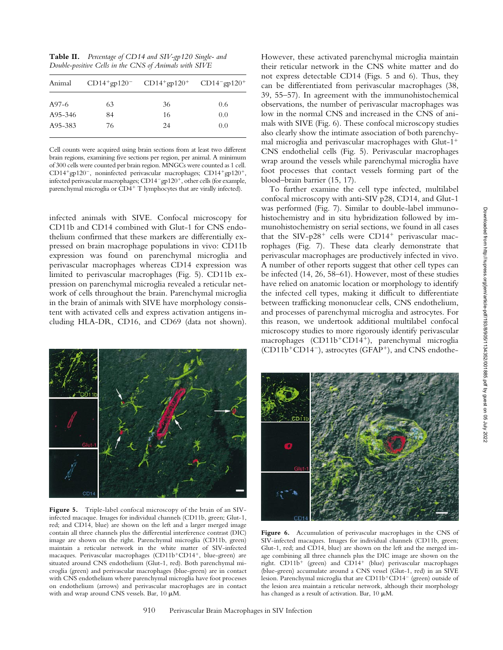| Animal  |    | $CD14+gp120^ CD14+gp120^+$ $CD14-gp120^+$ |     |
|---------|----|-------------------------------------------|-----|
| A97-6   | 63 | 36                                        | 0.6 |
| A95-346 | 84 | 16                                        | 0.0 |
| A95-383 | 76 | 24                                        | 0.0 |

Cell counts were acquired using brain sections from at least two different brain regions, examining five sections per region, per animal. A minimum of 300 cells were counted per brain region. MNGCs were counted as 1 cell. CD14<sup>+</sup>gp120<sup>-</sup>, noninfected perivascular macrophages; CD14<sup>+</sup>gp120<sup>+</sup>, infected perivascular macrophages; CD14<sup>-</sup>gp120<sup>+</sup>, other cells (for example, parenchymal microglia or  $\overline{CD4}^+$  T lymphocytes that are virally infected).

infected animals with SIVE. Confocal microscopy for CD11b and CD14 combined with Glut-1 for CNS endothelium confirmed that these markers are differentially expressed on brain macrophage populations in vivo: CD11b expression was found on parenchymal microglia and perivascular macrophages whereas CD14 expression was limited to perivascular macrophages (Fig. 5). CD11b expression on parenchymal microglia revealed a reticular network of cells throughout the brain. Parenchymal microglia in the brain of animals with SIVE have morphology consistent with activated cells and express activation antigens including HLA-DR, CD16, and CD69 (data not shown).



**Figure 5.** Triple-label confocal microscopy of the brain of an SIVinfected macaque. Images for individual channels (CD11b, green; Glut-1, red; and CD14, blue) are shown on the left and a larger merged image contain all three channels plus the differential interference contrast (DIC) image are shown on the right. Parenchymal microglia (CD11b, green) maintain a reticular network in the white matter of SIV-infected macaques. Perivascular macrophages (CD11b<sup>+</sup>CD14<sup>+</sup>, blue-green) are situated around CNS endothelium (Glut-1, red). Both parenchymal microglia (green) and perivascular macrophages (blue-green) are in contact with CNS endothelium where parenchymal microglia have foot processes on endothelium (arrows) and perivascular macrophages are in contact with and wrap around CNS vessels. Bar,  $10 \mu M$ .

However, these activated parenchymal microglia maintain their reticular network in the CNS white matter and do not express detectable CD14 (Figs. 5 and 6). Thus, they can be differentiated from perivascular macrophages (38, 39, 55–57). In agreement with the immunohistochemical observations, the number of perivascular macrophages was low in the normal CNS and increased in the CNS of animals with SIVE (Fig. 6). These confocal microscopy studies also clearly show the intimate association of both parenchymal microglia and perivascular macrophages with  $G<sub>l</sub>$ ti-1<sup>+</sup> CNS endothelial cells (Fig. 5). Perivascular macrophages wrap around the vessels while parenchymal microglia have foot processes that contact vessels forming part of the blood–brain barrier (15, 17).

To further examine the cell type infected, multilabel confocal microscopy with anti-SIV p28, CD14, and Glut-1 was performed (Fig. 7). Similar to double-label immunohistochemistry and in situ hybridization followed by immunohistochemistry on serial sections, we found in all cases that the SIV-p28<sup>+</sup> cells were CD14<sup>+</sup> perivascular macrophages (Fig. 7). These data clearly demonstrate that perivascular macrophages are productively infected in vivo. A number of other reports suggest that other cell types can be infected (14, 26, 58–61). However, most of these studies have relied on anatomic location or morphology to identify the infected cell types, making it difficult to differentiate between trafficking mononuclear cells, CNS endothelium, and processes of parenchymal microglia and astrocytes. For this reason, we undertook additional multilabel confocal microscopy studies to more rigorously identify perivascular macrophages (CD11b<sup>+</sup>CD14<sup>+</sup>), parenchymal microglia  $(CD11b+CD14^-)$ , astrocytes (GFAP<sup>+</sup>), and CNS endothe-



**Figure 6.** Accumulation of perivascular macrophages in the CNS of SIV-infected macaques. Images for individual channels (CD11b, green; Glut-1, red; and CD14, blue) are shown on the left and the merged image combining all three channels plus the DIC image are shown on the right. CD11b<sup>+</sup> (green) and CD14<sup>+</sup> (blue) perivascular macrophages (blue-green) accumulate around a CNS vessel (Glut-1, red) in an SIVE lesion. Parenchymal microglia that are CD11b+CD14<sup>-</sup> (green) outside of the lesion area maintain a reticular network, although their morphology has changed as a result of activation. Bar,  $10 \mu M$ .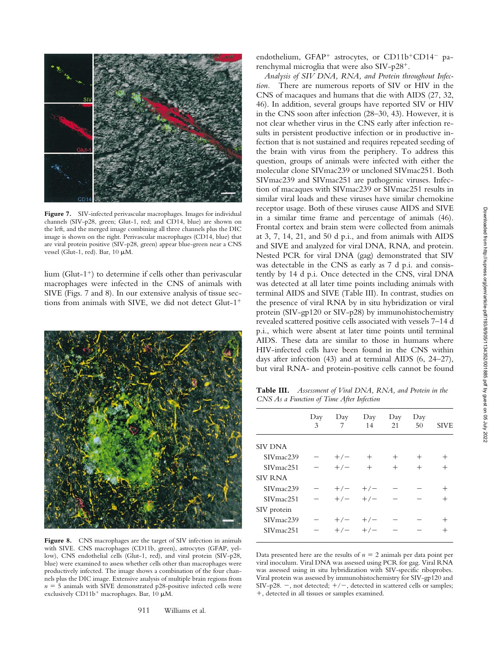

Figure 7. SIV-infected perivascular macrophages. Images for individual channels (SIV-p28, green; Glut-1, red; and CD14, blue) are shown on the left, and the merged image combining all three channels plus the DIC image is shown on the right. Perivascular macrophages (CD14, blue) that are viral protein positive (SIV-p28, green) appear blue-green near a CNS vessel (Glut-1, red). Bar, 10  $\mu$ M.

lium (Glut-1<sup>+</sup>) to determine if cells other than perivascular macrophages were infected in the CNS of animals with SIVE (Figs. 7 and 8). In our extensive analysis of tissue sections from animals with SIVE, we did not detect  $Glut-1^+$ 



Figure 8. CNS macrophages are the target of SIV infection in animals with SIVE. CNS macrophages (CD11b, green), astrocytes (GFAP, yellow), CNS endothelial cells (Glut-1, red), and viral protein (SIV-p28, blue) were examined to assess whether cells other than macrophages were productively infected. The image shows a combination of the four channels plus the DIC image. Extensive analysis of multiple brain regions from  $n = 5$  animals with SIVE demonstrated p28-positive infected cells were exclusively CD11b<sup>+</sup> macrophages. Bar, 10  $\mu$ M.

911 Williams et al.

endothelium, GFAP<sup>+</sup> astrocytes, or CD11b<sup>+</sup>CD14<sup>-</sup> parenchymal microglia that were also SIV-p28<sup>+</sup>.

*Analysis of SIV DNA, RNA, and Protein throughout Infection.* There are numerous reports of SIV or HIV in the CNS of macaques and humans that die with AIDS (27, 32, 46). In addition, several groups have reported SIV or HIV in the CNS soon after infection (28–30, 43). However, it is not clear whether virus in the CNS early after infection results in persistent productive infection or in productive infection that is not sustained and requires repeated seeding of the brain with virus from the periphery. To address this question, groups of animals were infected with either the molecular clone SIVmac239 or uncloned SIVmac251. Both SIVmac239 and SIVmac251 are pathogenic viruses. Infection of macaques with SIVmac239 or SIVmac251 results in similar viral loads and these viruses have similar chemokine receptor usage. Both of these viruses cause AIDS and SIVE in a similar time frame and percentage of animals (46). Frontal cortex and brain stem were collected from animals at 3, 7, 14, 21, and 50 d p.i., and from animals with AIDS and SIVE and analyzed for viral DNA, RNA, and protein. Nested PCR for viral DNA (gag) demonstrated that SIV was detectable in the CNS as early as 7 d p.i. and consistently by 14 d p.i. Once detected in the CNS, viral DNA was detected at all later time points including animals with terminal AIDS and SIVE (Table III). In contrast, studies on the presence of viral RNA by in situ hybridization or viral protein (SIV-gp120 or SIV-p28) by immunohistochemistry revealed scattered positive cells associated with vessels 7–14 d p.i., which were absent at later time points until terminal AIDS. These data are similar to those in humans where HIV-infected cells have been found in the CNS within days after infection (43) and at terminal AIDS (6, 24–27), but viral RNA- and protein-positive cells cannot be found

**Table III.** *Assessment of Viral DNA, RNA, and Protein in the CNS As a Function of Time After Infection*

|                        | Day<br>3 | Day<br>7  | Day<br>14      | Day<br>21 | Day<br>50 | <b>SIVE</b> |
|------------------------|----------|-----------|----------------|-----------|-----------|-------------|
| <b>SIV DNA</b>         |          |           |                |           |           |             |
| SIVmac239              |          | $+/-$     | $\overline{+}$ | $^+$      | $^{+}$    |             |
| SIV <sub>mac</sub> 251 |          | $+/-$     | $^{+}$         | $^{+}$    | $^{+}$    | $^{+}$      |
| <b>SIV RNA</b>         |          |           |                |           |           |             |
| SIVmac239              |          | $+/-$     | $+/-$          |           |           | $^+$        |
| SIV <sub>mac</sub> 251 |          | $+/- +/-$ |                |           |           | $^+$        |
| SIV protein            |          |           |                |           |           |             |
| SIVmac239              |          | $+/-$     | $+/-$          |           |           |             |
| SIV <sub>mac</sub> 251 |          | $+/-$     | $+/-$          |           |           |             |
|                        |          |           |                |           |           |             |

Data presented here are the results of  $n = 2$  animals per data point per viral inoculum. Viral DNA was assessed using PCR for gag. Viral RNA was assessed using in situ hybridization with SIV-specific riboprobes. Viral protein was assessed by immunohistochemistry for SIV-gp120 and SIV-p28. -, not detected;  $+/-$ , detected in scattered cells or samples; 1, detected in all tissues or samples examined.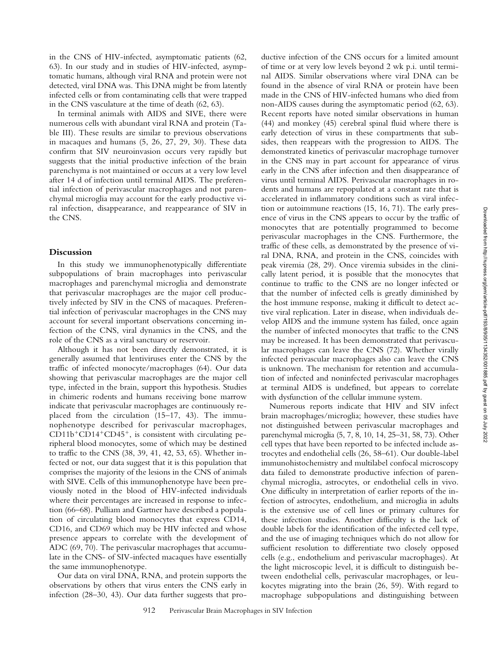in the CNS of HIV-infected, asymptomatic patients (62, 63). In our study and in studies of HIV-infected, asymptomatic humans, although viral RNA and protein were not detected, viral DNA was. This DNA might be from latently infected cells or from contaminating cells that were trapped in the CNS vasculature at the time of death (62, 63).

In terminal animals with AIDS and SIVE, there were numerous cells with abundant viral RNA and protein (Table III). These results are similar to previous observations in macaques and humans (5, 26, 27, 29, 30). These data confirm that SIV neuroinvasion occurs very rapidly but suggests that the initial productive infection of the brain parenchyma is not maintained or occurs at a very low level after 14 d of infection until terminal AIDS. The preferential infection of perivascular macrophages and not parenchymal microglia may account for the early productive viral infection, disappearance, and reappearance of SIV in the CNS.

## **Discussion**

In this study we immunophenotypically differentiate subpopulations of brain macrophages into perivascular macrophages and parenchymal microglia and demonstrate that perivascular macrophages are the major cell productively infected by SIV in the CNS of macaques. Preferential infection of perivascular macrophages in the CNS may account for several important observations concerning infection of the CNS, viral dynamics in the CNS, and the role of the CNS as a viral sanctuary or reservoir.

Although it has not been directly demonstrated, it is generally assumed that lentiviruses enter the CNS by the traffic of infected monocyte/macrophages (64). Our data showing that perivascular macrophages are the major cell type, infected in the brain, support this hypothesis. Studies in chimeric rodents and humans receiving bone marrow indicate that perivascular macrophages are continuously replaced from the circulation (15–17, 43). The immunophenotype described for perivascular macrophages,  $CD11b^+CD14^+CD45^+$ , is consistent with circulating peripheral blood monocytes, some of which may be destined to traffic to the CNS (38, 39, 41, 42, 53, 65). Whether infected or not, our data suggest that it is this population that comprises the majority of the lesions in the CNS of animals with SIVE. Cells of this immunophenotype have been previously noted in the blood of HIV-infected individuals where their percentages are increased in response to infection (66–68). Pulliam and Gartner have described a population of circulating blood monocytes that express CD14, CD16, and CD69 which may be HIV infected and whose presence appears to correlate with the development of ADC (69, 70). The perivascular macrophages that accumulate in the CNS- of SIV-infected macaques have essentially the same immunophenotype.

Our data on viral DNA, RNA, and protein supports the observations by others that virus enters the CNS early in infection (28–30, 43). Our data further suggests that productive infection of the CNS occurs for a limited amount of time or at very low levels beyond 2 wk p.i. until terminal AIDS. Similar observations where viral DNA can be found in the absence of viral RNA or protein have been made in the CNS of HIV-infected humans who died from non-AIDS causes during the asymptomatic period (62, 63). Recent reports have noted similar observations in human (44) and monkey (45) cerebral spinal fluid where there is early detection of virus in these compartments that subsides, then reappears with the progression to AIDS. The demonstrated kinetics of perivascular macrophage turnover in the CNS may in part account for appearance of virus early in the CNS after infection and then disappearance of virus until terminal AIDS. Perivascular macrophages in rodents and humans are repopulated at a constant rate that is accelerated in inflammatory conditions such as viral infection or autoimmune reactions (15, 16, 71). The early presence of virus in the CNS appears to occur by the traffic of monocytes that are potentially programmed to become perivascular macrophages in the CNS. Furthermore, the traffic of these cells, as demonstrated by the presence of viral DNA, RNA, and protein in the CNS, coincides with peak viremia (28, 29). Once viremia subsides in the clinically latent period, it is possible that the monocytes that continue to traffic to the CNS are no longer infected or that the number of infected cells is greatly diminished by the host immune response, making it difficult to detect active viral replication. Later in disease, when individuals develop AIDS and the immune system has failed, once again the number of infected monocytes that traffic to the CNS may be increased. It has been demonstrated that perivascular macrophages can leave the CNS (72). Whether virally infected perivascular macrophages also can leave the CNS is unknown. The mechanism for retention and accumulation of infected and noninfected perivascular macrophages at terminal AIDS is undefined, but appears to correlate with dysfunction of the cellular immune system.

Numerous reports indicate that HIV and SIV infect brain macrophages/microglia; however, these studies have not distinguished between perivascular macrophages and parenchymal microglia (5, 7, 8, 10, 14, 25–31, 58, 73). Other cell types that have been reported to be infected include astrocytes and endothelial cells (26, 58–61). Our double-label immunohistochemistry and multilabel confocal microscopy data failed to demonstrate productive infection of parenchymal microglia, astrocytes, or endothelial cells in vivo. One difficulty in interpretation of earlier reports of the infection of astrocytes, endothelium, and microglia in adults is the extensive use of cell lines or primary cultures for these infection studies. Another difficulty is the lack of double labels for the identification of the infected cell type, and the use of imaging techniques which do not allow for sufficient resolution to differentiate two closely opposed cells (e.g., endothelium and perivascular macrophages). At the light microscopic level, it is difficult to distinguish between endothelial cells, perivascular macrophages, or leukocytes migrating into the brain (26, 59). With regard to macrophage subpopulations and distinguishing between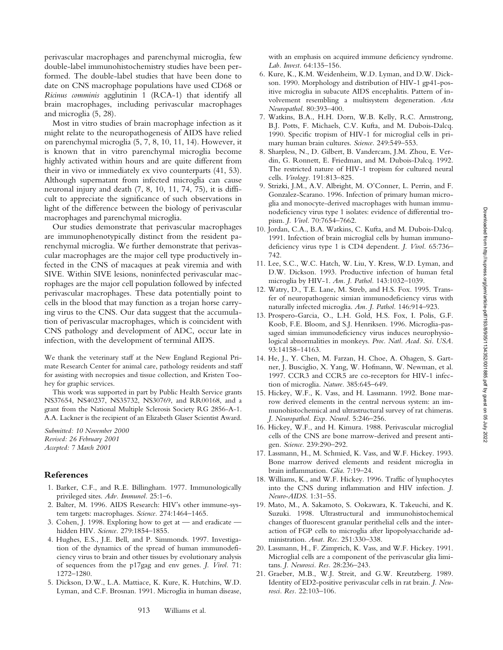perivascular macrophages and parenchymal microglia, few double-label immunohistochemistry studies have been performed. The double-label studies that have been done to date on CNS macrophage populations have used CD68 or *Ricinus comminis* agglutinin 1 (RCA-1) that identify all brain macrophages, including perivascular macrophages and microglia (5, 28).

Most in vitro studies of brain macrophage infection as it might relate to the neuropathogenesis of AIDS have relied on parenchymal microglia (5, 7, 8, 10, 11, 14). However, it is known that in vitro parenchymal microglia become highly activated within hours and are quite different from their in vivo or immediately ex vivo counterparts (41, 53). Although supernatant from infected microglia can cause neuronal injury and death (7, 8, 10, 11, 74, 75), it is difficult to appreciate the significance of such observations in light of the difference between the biology of perivascular macrophages and parenchymal microglia.

Our studies demonstrate that perivascular macrophages are immunophenotypically distinct from the resident parenchymal microglia. We further demonstrate that perivascular macrophages are the major cell type productively infected in the CNS of macaques at peak viremia and with SIVE. Within SIVE lesions, noninfected perivascular macrophages are the major cell population followed by infected perivascular macrophages. These data potentially point to cells in the blood that may function as a trojan horse carrying virus to the CNS. Our data suggest that the accumulation of perivascular macrophages, which is coincident with CNS pathology and development of ADC, occur late in infection, with the development of terminal AIDS.

We thank the veterinary staff at the New England Regional Primate Research Center for animal care, pathology residents and staff for assisting with necropsies and tissue collection, and Kristen Toohey for graphic services.

This work was supported in part by Public Health Service grants NS37654, NS40237, NS35732, NS30769, and RR00168, and a grant from the National Multiple Sclerosis Society RG 2856-A-1. A.A. Lackner is the recipient of an Elizabeth Glaser Scientist Award.

*Submitted: 10 November 2000 Revised: 26 February 2001 Accepted: 7 March 2001*

## **References**

- 1. Barker, C.F., and R.E. Billingham. 1977. Immunologically privileged sites. *Adv. Immunol.* 25:1–6.
- 2. Balter, M. 1996. AIDS Research: HIV's other immune-system targets: macrophages. *Science.* 274:1464–1465.
- 3. Cohen, J. 1998. Exploring how to get at and eradicate hidden HIV. *Science.* 279:1854–1855.
- 4. Hughes, E.S., J.E. Bell, and P. Simmonds. 1997. Investigation of the dynamics of the spread of human immunodeficiency virus to brain and other tissues by evolutionary analysis of sequences from the p17gag and env genes. *J. Virol.* 71: 1272–1280.
- 5. Dickson, D.W., L.A. Mattiace, K. Kure, K. Hutchins, W.D. Lyman, and C.F. Brosnan. 1991. Microglia in human disease,

with an emphasis on acquired immune deficiency syndrome. *Lab. Invest.* 64:135–156.

- 6. Kure, K., K.M. Weidenheim, W.D. Lyman, and D.W. Dickson. 1990. Morphology and distribution of HIV-1 gp41-positive microglia in subacute AIDS encephalitis. Pattern of involvement resembling a multisystem degeneration. *Acta Neuropathol.* 80:393–400.
- 7. Watkins, B.A., H.H. Dorn, W.B. Kelly, R.C. Armstrong, B.J. Potts, F. Michaels, C.V. Kufta, and M. Dubois-Dalcq. 1990. Specific tropism of HIV-1 for microglial cells in primary human brain cultures. *Science.* 249:549–553.
- 8. Sharpless, N., D. Gilbert, B. Vandercam, J.M. Zhou, E. Verdin, G. Ronnett, E. Friedman, and M. Dubois-Dalcq. 1992. The restricted nature of HIV-1 tropism for cultured neural cells. *Virology.* 191:813–825.
- 9. Strizki, J.M., A.V. Albright, M. O'Conner, L. Perrin, and F. Gonzalez-Scarano. 1996. Infection of primary human microglia and monocyte-derived macrophages with human immunodeficiency virus type 1 isolates: evidence of differential tropism. *J. Virol.* 70:7654–7662.
- 10. Jordan, C.A., B.A. Watkins, C. Kufta, and M. Dubois-Dalcq. 1991. Infection of brain microglial cells by human immunodeficiency virus type 1 is CD4 dependent. *J. Virol.* 65:736– 742.
- 11. Lee, S.C., W.C. Hatch, W. Liu, Y. Kress, W.D. Lyman, and D.W. Dickson. 1993. Productive infection of human fetal microglia by HIV-1. *Am. J. Pathol.* 143:1032–1039.
- 12. Watry, D., T.E. Lane, M. Streb, and H.S. Fox. 1995. Transfer of neuropathogenic simian immunodeficiency virus with naturally infected microglia. *Am. J. Pathol.* 146:914–923.
- 13. Prospero-Garcia, O., L.H. Gold, H.S. Fox, I. Polis, G.F. Koob, F.E. Bloom, and S.J. Henriksen. 1996. Microglia-passaged simian immunodeficiency virus induces neurophysiological abnormalities in monkeys. *Proc. Natl. Acad. Sci. USA.* 93:14158–14163.
- 14. He, J., Y. Chen, M. Farzan, H. Choe, A. Ohagen, S. Gartner, J. Busciglio, X. Yang, W. Hofmann, W. Newman, et al. 1997. CCR3 and CCR5 are co-receptors for HIV-1 infection of microglia. *Nature.* 385:645–649.
- 15. Hickey, W.F., K. Vass, and H. Lassmann. 1992. Bone marrow derived elements in the central nervous system: an immunohistochemical and ultrastructural survey of rat chimeras. *J. Neuropathol. Exp. Neurol.* 5:246–256.
- 16. Hickey, W.F., and H. Kimura. 1988. Perivascular microglial cells of the CNS are bone marrow-derived and present antigen. *Science.* 239:290–292.
- 17. Lassmann, H., M. Schmied, K. Vass, and W.F. Hickey. 1993. Bone marrow derived elements and resident microglia in brain inflammation. *Glia.* 7:19–24.
- 18. Williams, K., and W.F. Hickey. 1996. Traffic of lymphocytes into the CNS during inflammation and HIV infection. *J. Neuro-AIDS.* 1:31–55.
- 19. Mato, M., A. Sakamoto, S. Ookawara, K. Takeuchi, and K. Suzuki. 1998. Ultrastructural and immunohistochemical changes of fluorescent granular perithelial cells and the interaction of FGP cells to microglia after lipopolysaccharide administration. *Anat. Rec.* 251:330–338.
- 20. Lassmann, H., F. Zimprich, K. Vass, and W.F. Hickey. 1991. Microglial cells are a component of the perivascular glia limitans. *J. Neurosci. Res.* 28:236–243.
- 21. Graeber, M.B., W.J. Streit, and G.W. Kreutzberg. 1989. Identity of ED2-positive perivascular cells in rat brain. *J. Neurosci. Res.* 22:103–106.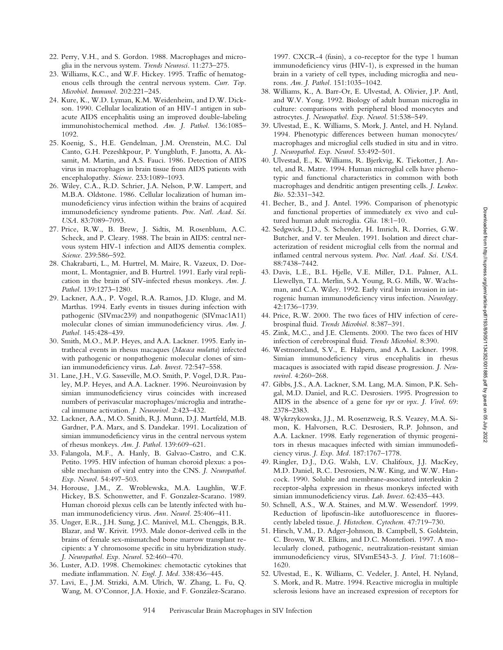- 22. Perry, V.H., and S. Gordon. 1988. Macrophages and microglia in the nervous system. *Trends Neurosci.* 11:273–275.
- 23. Williams, K.C., and W.F. Hickey. 1995. Traffic of hematogenous cells through the central nervous system. *Curr. Top. Microbiol. Immunol.* 202:221–245.
- 24. Kure, K., W.D. Lyman, K.M. Weidenheim, and D.W. Dickson. 1990. Cellular localization of an HIV-1 antigen in subacute AIDS encephalitis using an improved double-labeling immunohistochemical method. *Am. J. Pathol.* 136:1085– 1092.
- 25. Koenig, S., H.E. Gendelman, J.M. Orenstein, M.C. Dal Canto, G.H. Pezeshkpour, P. Yungbluth, F. Janotta, A. Aksamit, M. Martin, and A.S. Fauci. 1986. Detection of AIDS virus in macrophages in brain tissue from AIDS patients with encephalopathy. *Science.* 233:1089–1093.
- 26. Wiley, C.A., R.D. Schrier, J.A. Nelson, P.W. Lampert, and M.B.A. Oldstone. 1986. Cellular localization of human immunodeficiency virus infection within the brains of acquired immunodeficiency syndrome patients. *Proc. Natl. Acad. Sci. USA.* 83:7089–7093.
- 27. Price, R.W., B. Brew, J. Sidtis, M. Rosenblum, A.C. Scheck, and P. Cleary. 1988. The brain in AIDS: central nervous system HIV-1 infection and AIDS dementia complex. *Science.* 239:586–592.
- 28. Chakrabarti, L., M. Hurtrel, M. Maire, R. Vazeux, D. Dormont, L. Montagnier, and B. Hurtrel. 1991. Early viral replication in the brain of SIV-infected rhesus monkeys. *Am. J. Pathol.* 139:1273–1280.
- 29. Lackner, A.A., P. Vogel, R.A. Ramos, J.D. Kluge, and M. Marthas. 1994. Early events in tissues during infection with pathogenic (SIVmac239) and nonpathogenic (SIVmac1A11) molecular clones of simian immunodeficiency virus. *Am. J. Pathol.* 145:428–439.
- 30. Smith, M.O., M.P. Heyes, and A.A. Lackner. 1995. Early intrathecal events in rhesus macaques (*Macaca mulatta*) infected with pathogenic or nonpathogenic molecular clones of simian immunodeficiency virus. *Lab. Invest.* 72:547–558.
- 31. Lane, J.H., V.G. Sasseville, M.O. Smith, P. Vogel, D.R. Pauley, M.P. Heyes, and A.A. Lackner. 1996. Neuroinvasion by simian immunodeficiency virus coincides with increased numbers of perivascular macrophages/microglia and intrathecal immune activation. *J. Neurovirol.* 2:423–432.
- 32. Lackner, A.A., M.O. Smith, R.J. Munn, D.J. Martfeld, M.B. Gardner, P.A. Marx, and S. Dandekar. 1991. Localization of simian immunodeficiency virus in the central nervous system of rhesus monkeys. *Am. J. Pathol.* 139:609–621.
- 33. Falangola, M.F., A. Hanly, B. Galvao-Castro, and C.K. Petito. 1995. HIV infection of human choroid plexus: a possible mechanism of viral entry into the CNS. *J. Neuropathol. Exp. Neurol.* 54:497–503.
- 34. Horouse, J.M., Z. Wroblewska, M.A. Laughlin, W.F. Hickey, B.S. Schonwetter, and F. Gonzalez-Scarano. 1989. Human choroid plexus cells can be latently infected with human immunodeficiency virus. *Ann. Neurol.* 25:406–411.
- 35. Unger, E.R., J.H. Sung, J.C. Manivel, M.L. Chenggis, B.R. Blazar, and W. Krivit. 1993. Male donor-derived cells in the brains of female sex-mismatched bone marrow transplant recipients: a Y chromosome specific in situ hybridization study. *J. Neuropathol. Exp. Neurol.* 52:460–470.
- 36. Luster, A.D. 1998. Chemokines: chemotactic cytokines that mediate inflammation. *N. Engl. J. Med.* 338:436–445.
- 37. Lavi, E., J.M. Strizki, A.M. Ulrich, W. Zhang, L. Fu, Q. Wang, M. O'Connor, J.A. Hoxie, and F. González-Scarano.

1997. CXCR-4 (fusin), a co-receptor for the type 1 human immunodeficiency virus (HIV-1), is expressed in the human brain in a variety of cell types, including microglia and neurons. *Am. J. Pathol.* 151:1035–1042.

- 38. Williams, K., A. Barr-Or, E. Ulvestad, A. Olivier, J.P. Antl, and W.V. Yong. 1992. Biology of adult human microglia in culture: comparisons with peripheral blood monocytes and astrocytes. *J. Neuropathol. Exp. Neurol.* 51:538–549.
- 39. Ulvestad, E., K. Williams, S. Mork, J. Antel, and H. Nyland. 1994. Phenotypic differences between human monocytes/ macrophages and microglial cells studied in situ and in vitro. *J. Neuropathol. Exp. Neurol.* 53:492–501.
- 40. Ulvestad, E., K. Williams, R. Bjerkvig, K. Tiekotter, J. Antel, and R. Matre. 1994. Human microglial cells have phenotypic and functional characteristics in common with both macrophages and dendritic antigen presenting cells. *J. Leukoc. Bio.* 52:331–342.
- 41. Becher, B., and J. Antel. 1996. Comparison of phenotypic and functional properties of immediately ex vivo and cultured human adult microglia. *Glia.* 18:1–10.
- 42. Sedgwick, J.D., S. Schender, H. Imrich, R. Dorries, G.W. Butcher, and V. ter Meulen. 1991. Isolation and direct characterization of resident microglial cells from the normal and inflamed central nervous system. *Proc. Natl. Acad. Sci. USA.* 88:7438–7442.
- 43. Davis, L.E., B.L. Hjelle, V.E. Miller, D.L. Palmer, A.L. Llewellyn, T.L. Merlin, S.A. Young, R.G. Mills, W. Wachsman, and C.A. Wiley. 1992. Early viral brain invasion in iatrogenic human immunodeficiency virus infection. *Neurology.* 42:1736–1739.
- 44. Price, R.W. 2000. The two faces of HIV infection of cerebrospinal fluid. *Trends Microbiol.* 8:387–391.
- 45. Zink, M.C., and J.E. Clements. 2000. The two faces of HIV infection of cerebrospinal fluid. *Trends Microbiol.* 8:390.
- 46. Westmoreland, S.V., E. Halpern, and A.A. Lackner. 1998. Simian immunodeficiency virus encephalitis in rhesus macaques is associated with rapid disease progression. *J. Neurovirol.* 4:260–268.
- 47. Gibbs, J.S., A.A. Lackner, S.M. Lang, M.A. Simon, P.K. Sehgal, M.D. Daniel, and R.C. Desrosiers. 1995. Progression to AIDS in the absence of a gene for *vpr* or *vpx*. *J. Virol.* 69: 2378–2383.
- 48. Wykrzykowska, J.J., M. Rosenzweig, R.S. Veazey, M.A. Simon, K. Halvorsen, R.C. Desrosiers, R.P. Johnson, and A.A. Lackner. 1998. Early regeneration of thymic progenitors in rhesus macaques infected with simian immunodeficiency virus. *J. Exp. Med.* 187:1767–1778.
- 49. Ringler, D.J., D.G. Walsh, L.V. Chalifoux, J.J. MacKey, M.D. Daniel, R.C. Desrosiers, N.W. King, and W.W. Hancock. 1990. Soluble and membrane-associated interleukin 2 receptor-alpha expression in rhesus monkeys infected with simian immunodeficiency virus. *Lab. Invest.* 62:435–443.
- 50. Schnell, A.S., W.A. Staines, and M.W. Wessendorf. 1999. Reduction of lipofuscin-like autofluorescence in fluorescently labeled tissue. *J. Histochem. Cytochem.* 47:719–730.
- 51. Hirsch, V.M., D. Adger-Johnson, B. Campbell, S. Goldstein, C. Brown, W.R. Elkins, and D.C. Montefiori. 1997. A molecularly cloned, pathogenic, neutralization-resistant simian immunodeficiency virus, SIVsmE543-3. *J. Virol.* 71:1608– 1620.
- 52. Ulvestad, E., K. Williams, C. Vedeler, J. Antel, H. Nyland, S. Mork, and R. Matre. 1994. Reactive microglia in multiple sclerosis lesions have an increased expression of receptors for